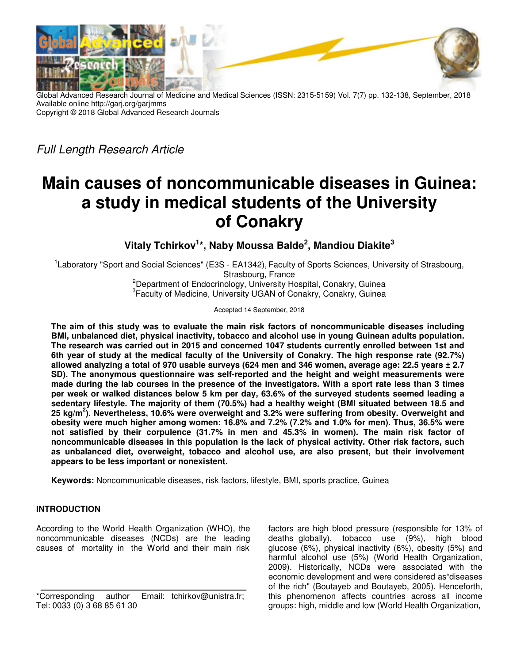

Global Advanced Research Journal of Medicine and Medical Sciences (ISSN: 2315-5159) Vol. 7(7) pp. 132-138, September, 2018 Available online http://garj.org/garjmms Copyright © 2018 Global Advanced Research Journals

Full Length Research Article

# **Main causes of noncommunicable diseases in Guinea: a study in medical students of the University of Conakry**

**Vitaly Tchirkov<sup>1</sup> \*, Naby Moussa Balde<sup>2</sup> , Mandiou Diakite<sup>3</sup>**

<sup>1</sup> Laboratory "Sport and Social Sciences" (E3S - EA1342), Faculty of Sports Sciences, University of Strasbourg, Strasbourg, France

<sup>2</sup>Department of Endocrinology, University Hospital, Conakry, Guinea <sup>3</sup> Faculty of Medicine, University UGAN of Conakry, Conakry, Guinea

Accepted 14 September, 2018

**The aim of this study was to evaluate the main risk factors of noncommunicable diseases including BMI, unbalanced diet, physical inactivity, tobacco and alcohol use in young Guinean adults population. The research was carried out in 2015 and concerned 1047 students currently enrolled between 1st and 6th year of study at the medical faculty of the University of Conakry. The high response rate (92.7%) allowed analyzing a total of 970 usable surveys (624 men and 346 women, average age: 22.5 years ± 2.7 SD). The anonymous questionnaire was self-reported and the height and weight measurements were made during the lab courses in the presence of the investigators. With a sport rate less than 3 times per week or walked distances below 5 km per day, 63.6% of the surveyed students seemed leading a sedentary lifestyle. The majority of them (70.5%) had a healthy weight (BMI situated between 18.5 and 25 kg/m<sup>2</sup> ). Nevertheless, 10.6% were overweight and 3.2% were suffering from obesity. Overweight and obesity were much higher among women: 16.8% and 7.2% (7.2% and 1.0% for men). Thus, 36.5% were not satisfied by their corpulence (31.7% in men and 45.3% in women). The main risk factor of noncommunicable diseases in this population is the lack of physical activity. Other risk factors, such as unbalanced diet, overweight, tobacco and alcohol use, are also present, but their involvement appears to be less important or nonexistent.** 

**Keywords:** Noncommunicable diseases, risk factors, lifestyle, BMI, sports practice, Guinea

## **INTRODUCTION**

According to the World Health Organization (WHO), the noncommunicable diseases (NCDs) are the leading causes of mortality in the World and their main risk

factors are high blood pressure (responsible for 13% of deaths globally), tobacco use (9%), high blood glucose (6%), physical inactivity (6%), obesity (5%) and harmful alcohol use (5%) (World Health Organization, 2009). Historically, NCDs were associated with the economic development and were considered as"diseases of the rich" (Boutayeb and Boutayeb, 2005). Henceforth, this phenomenon affects countries across all income groups: high, middle and low (World Health Organization,

<sup>\*</sup>Corresponding author Email: tchirkov@unistra.fr; Tel: 0033 (0) 3 68 85 61 30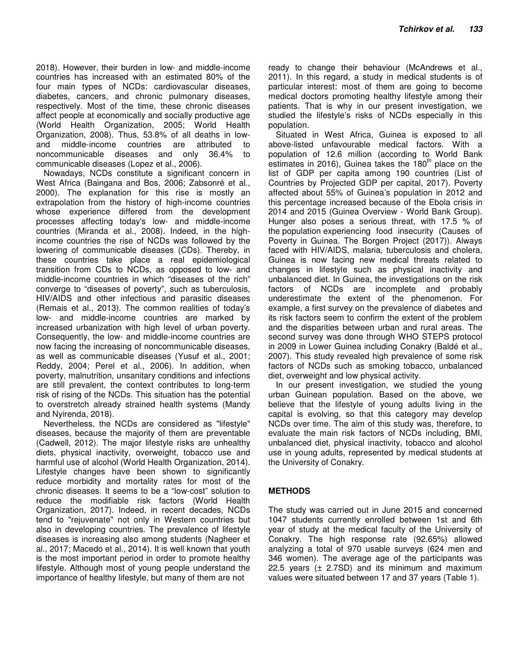2018). However, their burden in low- and middle-income countries has increased with an estimated 80% of the four main types of NCDs: cardiovascular diseases, diabetes, cancers, and chronic pulmonary diseases, respectively. Most of the time, these chronic diseases affect people at economically and socially productive age (World Health Organization, 2005; World Health Organization, 2008). Thus, 53.8% of all deaths in lowand middle-income countries are attributed to noncommunicable diseases and only 36.4% to communicable diseases (Lopez et al., 2006).

Nowadays, NCDs constitute a significant concern in West Africa (Baingana and Bos, 2006; Zabsonré et al., 2000). The explanation for this rise is mostly an extrapolation from the history of high-income countries whose experience differed from the development processes affecting today's low- and middle-income countries (Miranda et al., 2008). Indeed, in the highincome countries the rise of NCDs was followed by the lowering of communicable diseases (CDs). Thereby, in these countries take place a real epidemiological transition from CDs to NCDs, as opposed to low- and middle-income countries in which "diseases of the rich" converge to "diseases of poverty", such as tuberculosis, HIV/AIDS and other infectious and parasitic diseases (Remais et al., 2013). The common realities of today's low- and middle-income countries are marked by increased urbanization with high level of urban poverty. Consequently, the low- and middle-income countries are now facing the increasing of noncommunicable diseases, as well as communicable diseases (Yusuf et al., 2001; Reddy, 2004; Perel et al., 2006). In addition, when poverty, malnutrition, unsanitary conditions and infections are still prevalent, the context contributes to long-term risk of rising of the NCDs. This situation has the potential to overstretch already strained health systems (Mandy and Nyirenda, 2018).

Nevertheless, the NCDs are considered as "lifestyle" diseases, because the majority of them are preventable (Cadwell, 2012). The major lifestyle risks are unhealthy diets, physical inactivity, overweight, tobacco use and harmful use of alcohol (World Health Organization, 2014). Lifestyle changes have been shown to significantly reduce morbidity and mortality rates for most of the chronic diseases. It seems to be a "low-cost" solution to reduce the modifiable risk factors (World Health Organization, 2017). Indeed, in recent decades, NCDs tend to "rejuvenate" not only in Western countries but also in developing countries. The prevalence of lifestyle diseases is increasing also among students (Nagheer et al., 2017; Macedo et al., 2014). It is well known that youth is the most important period in order to promote healthy lifestyle. Although most of young people understand the importance of healthy lifestyle, but many of them are not

ready to change their behaviour (McAndrews et al., 2011). In this regard, a study in medical students is of particular interest: most of them are going to become medical doctors promoting healthy lifestyle among their patients. That is why in our present investigation, we studied the lifestyle's risks of NCDs especially in this population.

Situated in West Africa, Guinea is exposed to all above-listed unfavourable medical factors. With a population of 12.6 million (according to World Bank estimates in 2016), Guinea takes the  $180<sup>th</sup>$  place on the list of GDP per capita among 190 countries (List of Countries by Projected GDP per capital, 2017). Poverty affected about 55% of Guinea's population in 2012 and this percentage increased because of the Ebola crisis in 2014 and 2015 (Guinea Overview - World Bank Group). Hunger also poses a serious threat, with 17.5 % of the population experiencing food insecurity (Causes of Poverty in Guinea. The Borgen Project (2017)). Always faced with HIV/AIDS, malaria, tuberculosis and cholera, Guinea is now facing new medical threats related to changes in lifestyle such as physical inactivity and unbalanced diet. In Guinea, the investigations on the risk factors of NCDs are incomplete and probably underestimate the extent of the phenomenon. For example, a first survey on the prevalence of diabetes and its risk factors seem to confirm the extent of the problem and the disparities between urban and rural areas. The second survey was done through WHO STEPS protocol in 2009 in Lower Guinea including Conakry (Baldé et al., 2007). This study revealed high prevalence of some risk factors of NCDs such as smoking tobacco, unbalanced diet, overweight and low physical activity.

In our present investigation, we studied the young urban Guinean population. Based on the above, we believe that the lifestyle of young adults living in the capital is evolving, so that this category may develop NCDs over time. The aim of this study was, therefore, to evaluate the main risk factors of NCDs including, BMI, unbalanced diet, physical inactivity, tobacco and alcohol use in young adults, represented by medical students at the University of Conakry.

## **METHODS**

The study was carried out in June 2015 and concerned 1047 students currently enrolled between 1st and 6th year of study at the medical faculty of the University of Conakry. The high response rate (92.65%) allowed analyzing a total of 970 usable surveys (624 men and 346 women). The average age of the participants was 22.5 years  $(\pm 2.7SD)$  and its minimum and maximum values were situated between 17 and 37 years (Table 1).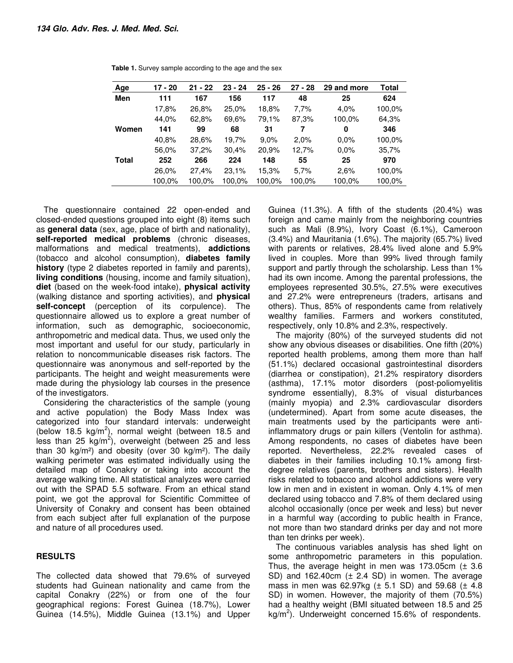| Age          | $17 - 20$ | $21 - 22$ | $23 - 24$ | $25 - 26$ | $27 - 28$ | 29 and more | Total  |
|--------------|-----------|-----------|-----------|-----------|-----------|-------------|--------|
| Men          | 111       | 167       | 156       | 117       | 48        | 25          | 624    |
|              | 17,8%     | 26,8%     | 25,0%     | 18,8%     | 7,7%      | 4.0%        | 100,0% |
|              | 44.0%     | 62,8%     | 69.6%     | 79,1%     | 87,3%     | 100,0%      | 64,3%  |
| Women        | 141       | 99        | 68        | 31        | 7         | 0           | 346    |
|              | 40.8%     | 28,6%     | 19,7%     | 9.0%      | 2.0%      | $0.0\%$     | 100,0% |
|              | 56,0%     | 37,2%     | 30,4%     | 20,9%     | 12,7%     | 0.0%        | 35,7%  |
| <b>Total</b> | 252       | 266       | 224       | 148       | 55        | 25          | 970    |
|              | 26,0%     | 27,4%     | 23,1%     | 15,3%     | 5.7%      | 2.6%        | 100,0% |
|              | 100.0%    | 100,0%    | 100,0%    | 100,0%    | 100,0%    | 100,0%      | 100,0% |

**Table 1.** Survey sample according to the age and the sex

The questionnaire contained 22 open-ended and closed-ended questions grouped into eight (8) items such as **general data** (sex, age, place of birth and nationality), **self-reported medical problems** (chronic diseases, malformations and medical treatments), **addictions** (tobacco and alcohol consumption), **diabetes family history** (type 2 diabetes reported in family and parents), **living conditions** (housing, income and family situation), **diet** (based on the week-food intake), **physical activity**  (walking distance and sporting activities), and **physical self-concept** (perception of its corpulence). The questionnaire allowed us to explore a great number of information, such as demographic, socioeconomic, anthropometric and medical data. Thus, we used only the most important and useful for our study, particularly in relation to noncommunicable diseases risk factors. The questionnaire was anonymous and self-reported by the participants. The height and weight measurements were made during the physiology lab courses in the presence of the investigators.

Considering the characteristics of the sample (young and active population) the Body Mass Index was categorized into four standard intervals: underweight (below 18.5  $kg/m^2$ ), normal weight (between 18.5 and less than 25  $\text{kg/m}^2$ ), overweight (between 25 and less than 30 kg/m<sup>2</sup>) and obesity (over 30 kg/m<sup>2</sup>). The daily walking perimeter was estimated individually using the detailed map of Conakry or taking into account the average walking time. All statistical analyzes were carried out with the SPAD 5.5 software. From an ethical stand point, we got the approval for Scientific Committee of University of Conakry and consent has been obtained from each subject after full explanation of the purpose and nature of all procedures used.

### **RESULTS**

The collected data showed that 79.6% of surveyed students had Guinean nationality and came from the capital Conakry (22%) or from one of the four geographical regions: Forest Guinea (18.7%), Lower Guinea (14.5%), Middle Guinea (13.1%) and Upper

Guinea (11.3%). A fifth of the students (20.4%) was foreign and came mainly from the neighboring countries such as Mali (8.9%), Ivory Coast (6.1%), Cameroon (3.4%) and Mauritania (1.6%). The majority (65.7%) lived with parents or relatives, 28.4% lived alone and 5.9% lived in couples. More than 99% lived through family support and partly through the scholarship. Less than 1% had its own income. Among the parental professions, the employees represented 30.5%, 27.5% were executives and 27.2% were entrepreneurs (traders, artisans and others). Thus, 85% of respondents came from relatively wealthy families. Farmers and workers constituted, respectively, only 10.8% and 2.3%, respectively.

The majority (80%) of the surveyed students did not show any obvious diseases or disabilities. One fifth (20%) reported health problems, among them more than half (51.1%) declared occasional gastrointestinal disorders (diarrhea or constipation), 21.2% respiratory disorders (asthma), 17.1% motor disorders (post-poliomyelitis syndrome essentially), 8.3% of visual disturbances (mainly myopia) and 2.3% cardiovascular disorders (undetermined). Apart from some acute diseases, the main treatments used by the participants were antiinflammatory drugs or pain killers (Ventolin for asthma). Among respondents, no cases of diabetes have been reported. Nevertheless, 22.2% revealed cases of diabetes in their families including 10.1% among firstdegree relatives (parents, brothers and sisters). Health risks related to tobacco and alcohol addictions were very low in men and in existent in woman. Only 4.1% of men declared using tobacco and 7.8% of them declared using alcohol occasionally (once per week and less) but never in a harmful way (according to public health in France, not more than two standard drinks per day and not more than ten drinks per week).

The continuous variables analysis has shed light on some anthropometric parameters in this population. Thus, the average height in men was 173.05cm  $(± 3.6$ SD) and 162.40cm (± 2.4 SD) in women. The average mass in men was  $62.97kg$  ( $\pm$  5.1 SD) and 59.68 ( $\pm$  4.8 SD) in women. However, the majority of them (70.5%) had a healthy weight (BMI situated between 18.5 and 25 kg/m<sup>2</sup>). Underweight concerned 15.6% of respondents.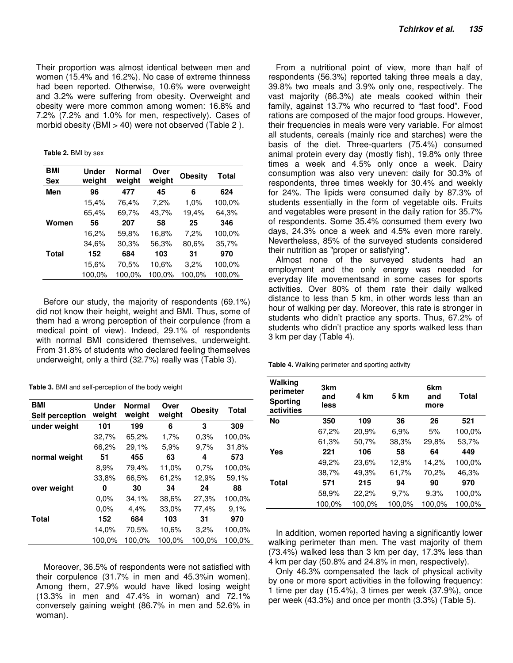Their proportion was almost identical between men and women (15.4% and 16.2%). No case of extreme thinness had been reported. Otherwise, 10.6% were overweight and 3.2% were suffering from obesity. Overweight and obesity were more common among women: 16.8% and 7.2% (7.2% and 1.0% for men, respectively). Cases of morbid obesity (BMI > 40) were not observed (Table 2 ).

**Table 2.** BMI by sex

| BMI          | <b>Under</b> | <b>Normal</b> | Over   | <b>Obesity</b> | <b>Total</b> |
|--------------|--------------|---------------|--------|----------------|--------------|
| <b>Sex</b>   | weight       | weight        | weight |                |              |
| Men          | 96           | 477           | 45     | 6              | 624          |
|              | 15,4%        | 76,4%         | 7,2%   | 1,0%           | 100,0%       |
|              | 65,4%        | 69,7%         | 43,7%  | 19,4%          | 64,3%        |
| Women        | 56           | 207           | 58     | 25             | 346          |
|              | 16,2%        | 59,8%         | 16,8%  | 7,2%           | 100,0%       |
|              | 34,6%        | 30,3%         | 56,3%  | 80.6%          | 35,7%        |
| <b>Total</b> | 152          | 684           | 103    | 31             | 970          |
|              | 15.6%        | 70,5%         | 10.6%  | 3,2%           | 100,0%       |
|              | 100,0%       | 100.0%        | 100,0% | 100.0%         | 100,0%       |

Before our study, the majority of respondents (69.1%) did not know their height, weight and BMI. Thus, some of them had a wrong perception of their corpulence (from a medical point of view). Indeed, 29.1% of respondents with normal BMI considered themselves, underweight. From 31.8% of students who declared feeling themselves underweight, only a third (32.7%) really was (Table 3).

**Table 3.** BMI and self-perception of the body weight

| <b>BMI</b><br>Self perception | <b>Under</b><br>weight | <b>Normal</b><br>weight | Over<br>weight | <b>Obesity</b> | <b>Total</b> |
|-------------------------------|------------------------|-------------------------|----------------|----------------|--------------|
| under weight                  | 101                    | 199                     | 6              | 3              | 309          |
|                               | 32,7%                  | 65,2%                   | 1,7%           | 0.3%           | 100,0%       |
|                               | 66,2%                  | 29,1%                   | 5,9%           | 9,7%           | 31,8%        |
| normal weight                 | 51                     | 455                     | 63             | 4              | 573          |
|                               | 8,9%                   | 79,4%                   | 11,0%          | 0.7%           | 100,0%       |
|                               | 33,8%                  | 66,5%                   | 61,2%          | 12,9%          | 59,1%        |
| over weight                   | 0                      | 30                      | 34             | 24             | 88           |
|                               | $0.0\%$                | 34,1%                   | 38,6%          | 27,3%          | 100,0%       |
|                               | $0.0\%$                | 4,4%                    | 33,0%          | 77,4%          | 9.1%         |
| <b>Total</b>                  | 152                    | 684                     | 103            | 31             | 970          |
|                               | 14,0%                  | 70,5%                   | 10.6%          | 3,2%           | 100,0%       |
|                               | 100,0%                 | 100,0%                  | 100,0%         | 100,0%         | 100,0%       |

Moreover, 36.5% of respondents were not satisfied with their corpulence (31.7% in men and 45.3%in women). Among them, 27.9% would have liked losing weight (13.3% in men and 47.4% in woman) and 72.1% conversely gaining weight (86.7% in men and 52.6% in woman).

From a nutritional point of view, more than half of respondents (56.3%) reported taking three meals a day, 39.8% two meals and 3.9% only one, respectively. The vast majority (86.3%) ate meals cooked within their family, against 13.7% who recurred to "fast food". Food rations are composed of the major food groups. However, their frequencies in meals were very variable. For almost all students, cereals (mainly rice and starches) were the basis of the diet. Three-quarters (75.4%) consumed animal protein every day (mostly fish), 19.8% only three times a week and 4.5% only once a week. Dairy consumption was also very uneven: daily for 30.3% of respondents, three times weekly for 30.4% and weekly for 24%. The lipids were consumed daily by 87.3% of students essentially in the form of vegetable oils. Fruits and vegetables were present in the daily ration for 35.7% of respondents. Some 35.4% consumed them every two days, 24.3% once a week and 4.5% even more rarely. Nevertheless, 85% of the surveyed students considered their nutrition as "proper or satisfying".

Almost none of the surveyed students had an employment and the only energy was needed for everyday life movementsand in some cases for sports activities. Over 80% of them rate their daily walked distance to less than 5 km, in other words less than an hour of walking per day. Moreover, this rate is stronger in students who didn't practice any sports. Thus, 67.2% of students who didn't practice any sports walked less than 3 km per day (Table 4).

**Table 4.** Walking perimeter and sporting activity

| Walking<br>perimeter<br>Sporting<br>activities | 3km<br>and<br>less | 4 km   | 5 km   | 6km<br>and<br>more | Total  |
|------------------------------------------------|--------------------|--------|--------|--------------------|--------|
| No                                             | 350                | 109    | 36     | 26                 | 521    |
|                                                | 67,2%              | 20,9%  | 6.9%   | 5%                 | 100,0% |
|                                                | 61,3%              | 50,7%  | 38,3%  | 29,8%              | 53,7%  |
| Yes                                            | 221                | 106    | 58     | 64                 | 449    |
|                                                | 49,2%              | 23,6%  | 12,9%  | 14,2%              | 100,0% |
|                                                | 38,7%              | 49,3%  | 61,7%  | 70,2%              | 46,3%  |
| <b>Total</b>                                   | 571                | 215    | 94     | 90                 | 970    |
|                                                | 58,9%              | 22,2%  | 9,7%   | 9.3%               | 100,0% |
|                                                | 100.0%             | 100.0% | 100.0% | 100.0%             | 100,0% |

In addition, women reported having a significantly lower walking perimeter than men. The vast majority of them (73.4%) walked less than 3 km per day, 17.3% less than 4 km per day (50.8% and 24.8% in men, respectively).

Only 46.3% compensated the lack of physical activity by one or more sport activities in the following frequency: 1 time per day (15.4%), 3 times per week (37.9%), once per week (43.3%) and once per month (3.3%) (Table 5).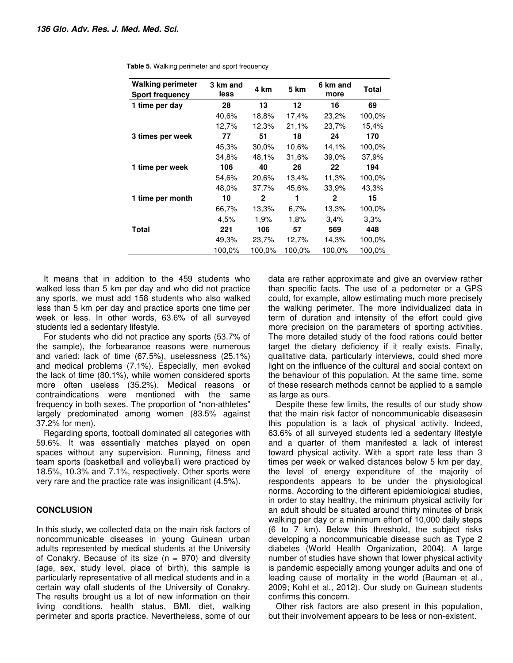| <b>Walking perimeter</b><br>Sport frequency | 3 km and<br>less | 4 km   | 5 km   | 6 km and<br>more | Total  |
|---------------------------------------------|------------------|--------|--------|------------------|--------|
| 1 time per day                              | 28               | 13     | 12     | 16               | 69     |
|                                             | 40.6%            | 18,8%  | 17,4%  | 23,2%            | 100,0% |
|                                             | 12,7%            | 12,3%  | 21,1%  | 23,7%            | 15,4%  |
| 3 times per week                            | 77               | 51     | 18     | 24               | 170    |
|                                             | 45,3%            | 30,0%  | 10.6%  | 14,1%            | 100,0% |
|                                             | 34,8%            | 48,1%  | 31,6%  | 39,0%            | 37,9%  |
| 1 time per week                             | 106              | 40     | 26     | 22               | 194    |
|                                             | 54,6%            | 20,6%  | 13,4%  | 11,3%            | 100,0% |
|                                             | 48,0%            | 37,7%  | 45,6%  | 33,9%            | 43,3%  |
| 1 time per month                            | 10               | 2      | 1      | $\mathbf{2}$     | 15     |
|                                             | 66,7%            | 13,3%  | 6,7%   | 13,3%            | 100,0% |
|                                             | 4,5%             | 1,9%   | 1,8%   | 3,4%             | 3.3%   |
| Total                                       | 221              | 106    | 57     | 569              | 448    |
|                                             | 49,3%            | 23,7%  | 12,7%  | 14,3%            | 100,0% |
|                                             | 100.0%           | 100,0% | 100,0% | 100.0%           | 100.0% |

**Table 5.** Walking perimeter and sport frequency

It means that in addition to the 459 students who walked less than 5 km per day and who did not practice any sports, we must add 158 students who also walked less than 5 km per day and practice sports one time per week or less. In other words, 63.6% of all surveyed students led a sedentary lifestyle.

For students who did not practice any sports (53.7% of the sample), the forbearance reasons were numerous and varied: lack of time (67.5%), uselessness (25.1%) and medical problems (7.1%). Especially, men evoked the lack of time (80.1%), while women considered sports more often useless (35.2%). Medical reasons or contraindications were mentioned with the same frequency in both sexes. The proportion of "non-athletes" largely predominated among women (83.5% against 37.2% for men).

Regarding sports, football dominated all categories with 59.6%. It was essentially matches played on open spaces without any supervision. Running, fitness and team sports (basketball and volleyball) were practiced by 18.5%, 10.3% and 7.1%, respectively. Other sports were very rare and the practice rate was insignificant (4.5%).

## **CONCLUSION**

In this study, we collected data on the main risk factors of noncommunicable diseases in young Guinean urban adults represented by medical students at the University of Conakry. Because of its size  $(n = 970)$  and diversity (age, sex, study level, place of birth), this sample is particularly representative of all medical students and in a certain way ofall students of the University of Conakry. The results brought us a lot of new information on their living conditions, health status, BMI, diet, walking perimeter and sports practice. Nevertheless, some of our data are rather approximate and give an overview rather than specific facts. The use of a pedometer or a GPS could, for example, allow estimating much more precisely the walking perimeter. The more individualized data in term of duration and intensity of the effort could give more precision on the parameters of sporting activities. The more detailed study of the food rations could better target the dietary deficiency if it really exists. Finally, qualitative data, particularly interviews, could shed more light on the influence of the cultural and social context on the behaviour of this population. At the same time, some of these research methods cannot be applied to a sample as large as ours.

Despite these few limits, the results of our study show that the main risk factor of noncommunicable diseasesin this population is a lack of physical activity. Indeed, 63.6% of all surveyed students led a sedentary lifestyle and a quarter of them manifested a lack of interest toward physical activity. With a sport rate less than 3 times per week or walked distances below 5 km per day, the level of energy expenditure of the majority of respondents appears to be under the physiological norms. According to the different epidemiological studies, in order to stay healthy, the minimum physical activity for an adult should be situated around thirty minutes of brisk walking per day or a minimum effort of 10,000 daily steps (6 to 7 km). Below this threshold, the subject risks developing a noncommunicable disease such as Type 2 diabetes (World Health Organization, 2004). A large number of studies have shown that lower physical activity is pandemic especially among younger adults and one of leading cause of mortality in the world (Bauman et al., 2009; Kohl et al., 2012). Our study on Guinean students confirms this concern.

Other risk factors are also present in this population, but their involvement appears to be less or non-existent.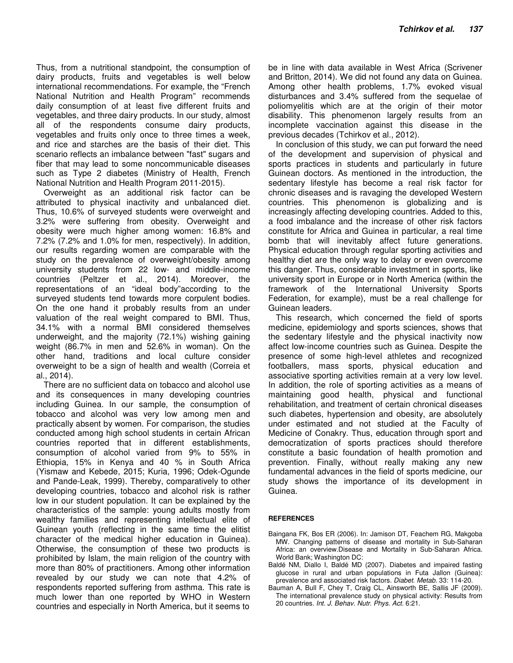Thus, from a nutritional standpoint, the consumption of dairy products, fruits and vegetables is well below international recommendations. For example, the "French National Nutrition and Health Program" recommends daily consumption of at least five different fruits and vegetables, and three dairy products. In our study, almost all of the respondents consume dairy products, vegetables and fruits only once to three times a week, and rice and starches are the basis of their diet. This scenario reflects an imbalance between "fast" sugars and fiber that may lead to some noncommunicable diseases such as Type 2 diabetes (Ministry of Health, French National Nutrition and Health Program 2011-2015).

Overweight as an additional risk factor can be attributed to physical inactivity and unbalanced diet. Thus, 10.6% of surveyed students were overweight and 3.2% were suffering from obesity. Overweight and obesity were much higher among women: 16.8% and 7.2% (7.2% and 1.0% for men, respectively). In addition, our results regarding women are comparable with the study on the prevalence of overweight/obesity among university students from 22 low- and middle-income countries (Peltzer et al., 2014). Moreover, the representations of an "ideal body"according to the surveyed students tend towards more corpulent bodies. On the one hand it probably results from an under valuation of the real weight compared to BMI. Thus, 34.1% with a normal BMI considered themselves underweight, and the majority (72.1%) wishing gaining weight (86.7% in men and 52.6% in woman). On the other hand, traditions and local culture consider overweight to be a sign of health and wealth (Correia et al., 2014).

There are no sufficient data on tobacco and alcohol use and its consequences in many developing countries including Guinea. In our sample, the consumption of tobacco and alcohol was very low among men and practically absent by women. For comparison, the studies conducted among high school students in certain African countries reported that in different establishments, consumption of alcohol varied from 9% to 55% in Ethiopia, 15% in Kenya and 40 % in South Africa (Yismaw and Kebede, 2015; Kuria, 1996; Odek-Ogunde and Pande-Leak, 1999). Thereby, comparatively to other developing countries, tobacco and alcohol risk is rather low in our student population. It can be explained by the characteristics of the sample: young adults mostly from wealthy families and representing intellectual elite of Guinean youth (reflecting in the same time the elitist character of the medical higher education in Guinea). Otherwise, the consumption of these two products is prohibited by Islam, the main religion of the country with more than 80% of practitioners. Among other information revealed by our study we can note that 4.2% of respondents reported suffering from asthma. This rate is much lower than one reported by WHO in Western countries and especially in North America, but it seems to

be in line with data available in West Africa (Scrivener and Britton, 2014). We did not found any data on Guinea. Among other health problems, 1.7% evoked visual disturbances and 3.4% suffered from the sequelae of poliomyelitis which are at the origin of their motor disability. This phenomenon largely results from an incomplete vaccination against this disease in the previous decades (Tchirkov et al., 2012).

In conclusion of this study, we can put forward the need of the development and supervision of physical and sports practices in students and particularly in future Guinean doctors. As mentioned in the introduction, the sedentary lifestyle has become a real risk factor for chronic diseases and is ravaging the developed Western countries. This phenomenon is globalizing and is increasingly affecting developing countries. Added to this, a food imbalance and the increase of other risk factors constitute for Africa and Guinea in particular, a real time bomb that will inevitably affect future generations. Physical education through regular sporting activities and healthy diet are the only way to delay or even overcome this danger. Thus, considerable investment in sports, like university sport in Europe or in North America (within the framework of the International University Sports Federation, for example), must be a real challenge for Guinean leaders.

This research, which concerned the field of sports medicine, epidemiology and sports sciences, shows that the sedentary lifestyle and the physical inactivity now affect low-income countries such as Guinea. Despite the presence of some high-level athletes and recognized footballers, mass sports, physical education and associative sporting activities remain at a very low level. In addition, the role of sporting activities as a means of maintaining good health, physical and functional rehabilitation, and treatment of certain chronical diseases such diabetes, hypertension and obesity, are absolutely under estimated and not studied at the Faculty of Medicine of Conakry. Thus, education through sport and democratization of sports practices should therefore constitute a basic foundation of health promotion and prevention. Finally, without really making any new fundamental advances in the field of sports medicine, our study shows the importance of its development in Guinea.

#### **REFERENCES**

- Baingana FK, Bos ER (2006). In: Jamison DT, Feachem RG, Makgoba MW. Changing patterns of disease and mortality in Sub-Saharan Africa: an overview.Disease and Mortality in Sub-Saharan Africa. World Bank; Washington DC:
- Baldé NM, Diallo I, Baldé MD (2007). Diabetes and impaired fasting glucose in rural and urban populations in Futa Jallon (Guinea): prevalence and associated risk factors. Diabet. Metab. 33: 114-20.
- Bauman A, Bull F, Chey T, Craig CL, Ainsworth BE, Sallis JF (2009). The international prevalence study on physical activity: Results from 20 countries. Int. J. Behav. Nutr. Phys. Act. 6:21.